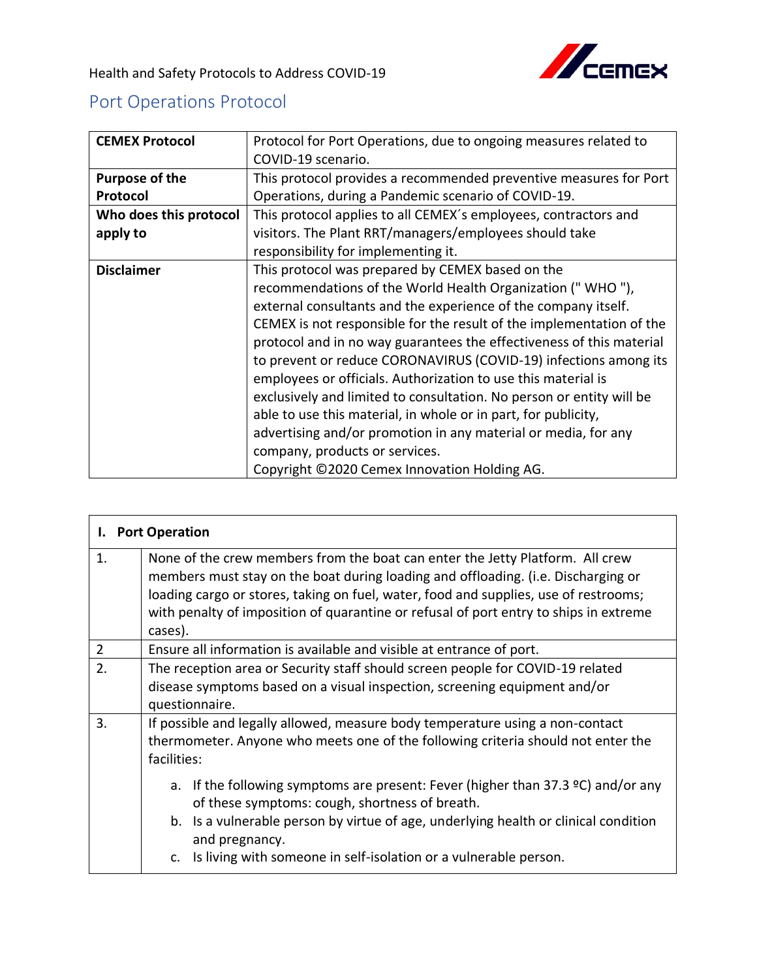## Port Operations Protocol

| <b>CEMEX Protocol</b>  | Protocol for Port Operations, due to ongoing measures related to     |
|------------------------|----------------------------------------------------------------------|
|                        | COVID-19 scenario.                                                   |
| Purpose of the         | This protocol provides a recommended preventive measures for Port    |
| Protocol               | Operations, during a Pandemic scenario of COVID-19.                  |
| Who does this protocol | This protocol applies to all CEMEX's employees, contractors and      |
| apply to               | visitors. The Plant RRT/managers/employees should take               |
|                        | responsibility for implementing it.                                  |
| <b>Disclaimer</b>      | This protocol was prepared by CEMEX based on the                     |
|                        | recommendations of the World Health Organization ("WHO"),            |
|                        | external consultants and the experience of the company itself.       |
|                        | CEMEX is not responsible for the result of the implementation of the |
|                        | protocol and in no way guarantees the effectiveness of this material |
|                        | to prevent or reduce CORONAVIRUS (COVID-19) infections among its     |
|                        | employees or officials. Authorization to use this material is        |
|                        | exclusively and limited to consultation. No person or entity will be |
|                        | able to use this material, in whole or in part, for publicity,       |
|                        | advertising and/or promotion in any material or media, for any       |
|                        | company, products or services.                                       |
|                        | Copyright ©2020 Cemex Innovation Holding AG.                         |

| <b>Port Operation</b><br>I. |                                                                                                                                                                                                                                                                                                                                                                |  |
|-----------------------------|----------------------------------------------------------------------------------------------------------------------------------------------------------------------------------------------------------------------------------------------------------------------------------------------------------------------------------------------------------------|--|
| 1.                          | None of the crew members from the boat can enter the Jetty Platform. All crew<br>members must stay on the boat during loading and offloading. (i.e. Discharging or<br>loading cargo or stores, taking on fuel, water, food and supplies, use of restrooms;<br>with penalty of imposition of quarantine or refusal of port entry to ships in extreme<br>cases). |  |
| $\overline{2}$              | Ensure all information is available and visible at entrance of port.                                                                                                                                                                                                                                                                                           |  |
| 2.                          | The reception area or Security staff should screen people for COVID-19 related<br>disease symptoms based on a visual inspection, screening equipment and/or<br>questionnaire.                                                                                                                                                                                  |  |
| 3.                          | If possible and legally allowed, measure body temperature using a non-contact<br>thermometer. Anyone who meets one of the following criteria should not enter the<br>facilities:                                                                                                                                                                               |  |
|                             | a. If the following symptoms are present: Fever (higher than 37.3 $\degree$ C) and/or any<br>of these symptoms: cough, shortness of breath.<br>b. Is a vulnerable person by virtue of age, underlying health or clinical condition<br>and pregnancy.                                                                                                           |  |
|                             | c. Is living with someone in self-isolation or a vulnerable person.                                                                                                                                                                                                                                                                                            |  |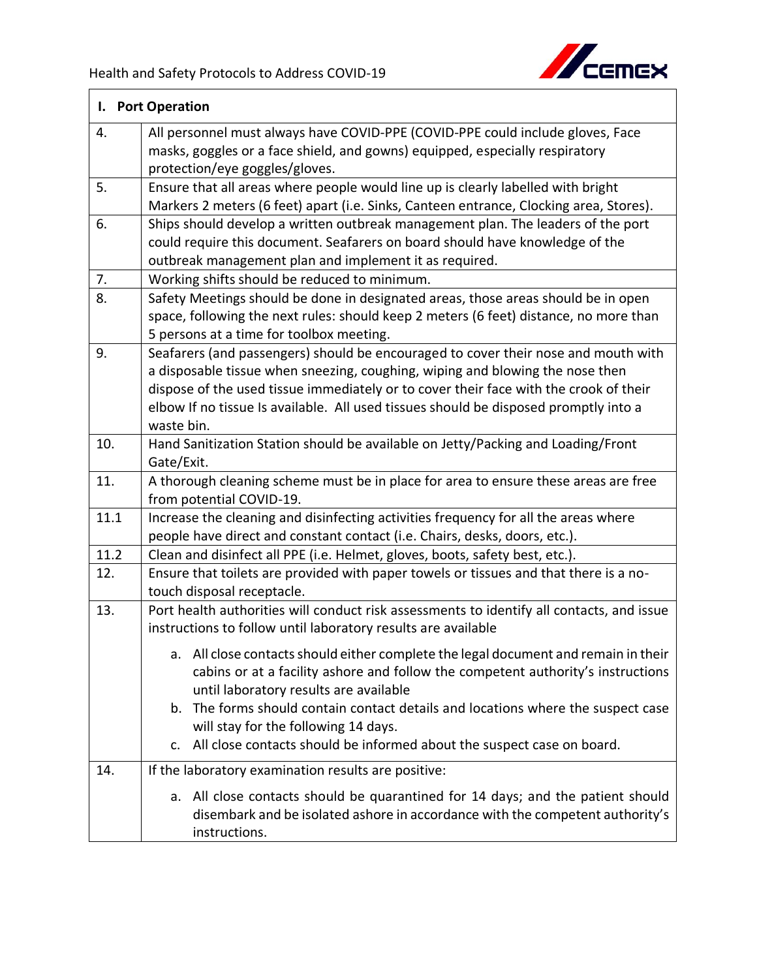

|      | I. Port Operation                                                                                                                                                                                                                                                                                                                                                  |  |  |
|------|--------------------------------------------------------------------------------------------------------------------------------------------------------------------------------------------------------------------------------------------------------------------------------------------------------------------------------------------------------------------|--|--|
| 4.   | All personnel must always have COVID-PPE (COVID-PPE could include gloves, Face<br>masks, goggles or a face shield, and gowns) equipped, especially respiratory<br>protection/eye goggles/gloves.                                                                                                                                                                   |  |  |
| 5.   | Ensure that all areas where people would line up is clearly labelled with bright<br>Markers 2 meters (6 feet) apart (i.e. Sinks, Canteen entrance, Clocking area, Stores).                                                                                                                                                                                         |  |  |
| 6.   | Ships should develop a written outbreak management plan. The leaders of the port<br>could require this document. Seafarers on board should have knowledge of the<br>outbreak management plan and implement it as required.                                                                                                                                         |  |  |
| 7.   | Working shifts should be reduced to minimum.                                                                                                                                                                                                                                                                                                                       |  |  |
| 8.   | Safety Meetings should be done in designated areas, those areas should be in open<br>space, following the next rules: should keep 2 meters (6 feet) distance, no more than<br>5 persons at a time for toolbox meeting.                                                                                                                                             |  |  |
| 9.   | Seafarers (and passengers) should be encouraged to cover their nose and mouth with<br>a disposable tissue when sneezing, coughing, wiping and blowing the nose then<br>dispose of the used tissue immediately or to cover their face with the crook of their<br>elbow If no tissue Is available. All used tissues should be disposed promptly into a<br>waste bin. |  |  |
| 10.  | Hand Sanitization Station should be available on Jetty/Packing and Loading/Front<br>Gate/Exit.                                                                                                                                                                                                                                                                     |  |  |
| 11.  | A thorough cleaning scheme must be in place for area to ensure these areas are free<br>from potential COVID-19.                                                                                                                                                                                                                                                    |  |  |
| 11.1 | Increase the cleaning and disinfecting activities frequency for all the areas where<br>people have direct and constant contact (i.e. Chairs, desks, doors, etc.).                                                                                                                                                                                                  |  |  |
| 11.2 | Clean and disinfect all PPE (i.e. Helmet, gloves, boots, safety best, etc.).                                                                                                                                                                                                                                                                                       |  |  |
| 12.  | Ensure that toilets are provided with paper towels or tissues and that there is a no-<br>touch disposal receptacle.                                                                                                                                                                                                                                                |  |  |
| 13.  | Port health authorities will conduct risk assessments to identify all contacts, and issue<br>instructions to follow until laboratory results are available                                                                                                                                                                                                         |  |  |
|      | a. All close contacts should either complete the legal document and remain in their<br>cabins or at a facility ashore and follow the competent authority's instructions<br>until laboratory results are available<br>b. The forms should contain contact details and locations where the suspect case                                                              |  |  |
|      | will stay for the following 14 days.<br>All close contacts should be informed about the suspect case on board.<br>$\mathsf{C}$ .                                                                                                                                                                                                                                   |  |  |
| 14.  | If the laboratory examination results are positive:                                                                                                                                                                                                                                                                                                                |  |  |
|      | a. All close contacts should be quarantined for 14 days; and the patient should<br>disembark and be isolated ashore in accordance with the competent authority's<br>instructions.                                                                                                                                                                                  |  |  |